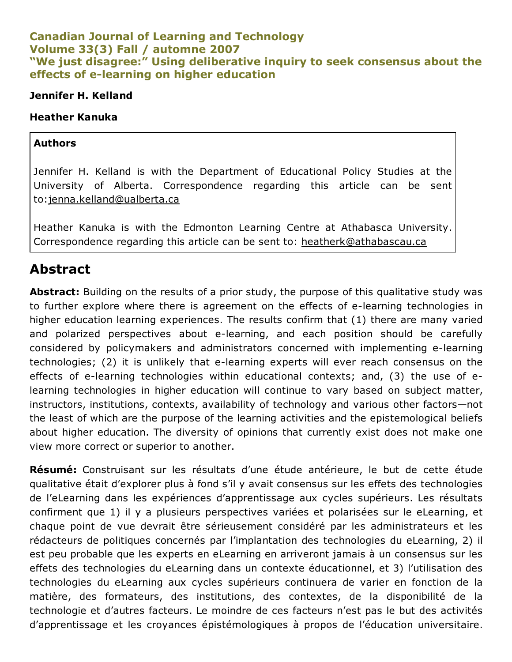### Canadian Journal of Learning and Technology Volume 33(3) Fall / automne 2007 "We just disagree:" Using deliberative inquiry to seek consensus about the effects of e-learning on higher education

### Jennifer H. Kelland

### Heather Kanuka

#### **Authors**

Jennifer H. Kelland is with the Department of Educational Policy Studies at the University of Alberta. Correspondence regarding this article can be sent to:[jenna.kelland@ualberta.ca](mailto:jenna.kelland@ualberta.ca)

Heather Kanuka is with the Edmonton Learning Centre at Athabasca University. Correspondence regarding this article can be sent to: [heatherk@athabascau.ca](mailto:heatherk@athabascau.ca)

### Abstract

Abstract: Building on the results of a prior study, the purpose of this qualitative study was to further explore where there is agreement on the effects of e-learning technologies in higher education learning experiences. The results confirm that (1) there are many varied and polarized perspectives about e-learning, and each position should be carefully considered by policymakers and administrators concerned with implementing e-learning technologies; (2) it is unlikely that e-learning experts will ever reach consensus on the effects of e-learning technologies within educational contexts; and,  $(3)$  the use of elearning technologies in higher education will continue to vary based on subject matter, instructors, institutions, contexts, availability of technology and various other factors—not the least of which are the purpose of the learning activities and the epistemological beliefs about higher education. The diversity of opinions that currently exist does not make one view more correct or superior to another.

Résumé: Construisant sur les résultats d'une étude antérieure, le but de cette étude qualitative était d'explorer plus à fond s'il y avait consensus sur les effets des technologies de l'eLearning dans les expériences d'apprentissage aux cycles supérieurs. Les résultats confirment que 1) il y a plusieurs perspectives variées et polarisées sur le eLearning, et chaque point de vue devrait être sérieusement considéré par les administrateurs et les rédacteurs de politiques concernés par l'implantation des technologies du eLearning, 2) il est peu probable que les experts en eLearning en arriveront jamais à un consensus sur les effets des technologies du eLearning dans un contexte éducationnel, et 3) l'utilisation des technologies du eLearning aux cycles supérieurs continuera de varier en fonction de la matière, des formateurs, des institutions, des contextes, de la disponibilité de la technologie et d'autres facteurs. Le moindre de ces facteurs n'est pas le but des activités d'apprentissage et les croyances épistémologiques à propos de l'éducation universitaire.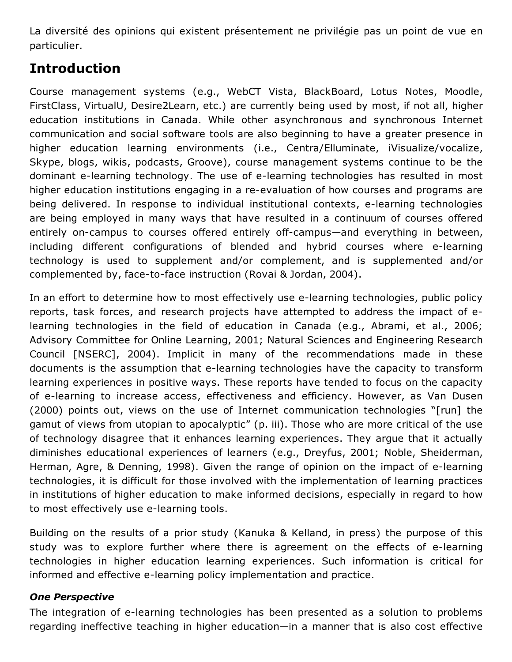La diversité des opinions qui existent présentement ne privilégie pas un point de vue en particulier.

# Introduction

Course management systems (e.g., WebCT Vista, BlackBoard, Lotus Notes, Moodle, FirstClass, VirtualU, Desire2Learn, etc.) are currently being used by most, if not all, higher education institutions in Canada. While other asynchronous and synchronous Internet communication and social software tools are also beginning to have a greater presence in higher education learning environments (i.e., Centra/Elluminate, iVisualize/vocalize, Skype, blogs, wikis, podcasts, Groove), course management systems continue to be the dominant e-learning technology. The use of e-learning technologies has resulted in most higher education institutions engaging in a re-evaluation of how courses and programs are being delivered. In response to individual institutional contexts, e-learning technologies are being employed in many ways that have resulted in a continuum of courses offered entirely on-campus to courses offered entirely off-campus—and everything in between, including different configurations of blended and hybrid courses where e-learning technology is used to supplement and/or complement, and is supplemented and/or complemented by, face-to-face instruction (Rovai & Jordan, 2004).

In an effort to determine how to most effectively use e-learning technologies, public policy reports, task forces, and research projects have attempted to address the impact of elearning technologies in the field of education in Canada (e.g., Abrami, et al., 2006; Advisory Committee for Online Learning, 2001; Natural Sciences and Engineering Research Council [NSERC], 2004). Implicit in many of the recommendations made in these documents is the assumption that e-learning technologies have the capacity to transform learning experiences in positive ways. These reports have tended to focus on the capacity of e-learning to increase access, effectiveness and efficiency. However, as Van Dusen (2000) points out, views on the use of Internet communication technologies "[run] the gamut of views from utopian to apocalyptic" (p. iii). Those who are more critical of the use of technology disagree that it enhances learning experiences. They argue that it actually diminishes educational experiences of learners (e.g., Dreyfus, 2001; Noble, Sheiderman, Herman, Agre, & Denning, 1998). Given the range of opinion on the impact of e-learning technologies, it is difficult for those involved with the implementation of learning practices in institutions of higher education to make informed decisions, especially in regard to how to most effectively use e-learning tools.

Building on the results of a prior study (Kanuka & Kelland, in press) the purpose of this study was to explore further where there is agreement on the effects of e-learning technologies in higher education learning experiences. Such information is critical for informed and effective e-learning policy implementation and practice.

### *One Perspective*

The integration of e-learning technologies has been presented as a solution to problems regarding ineffective teaching in higher education—in a manner that is also cost effective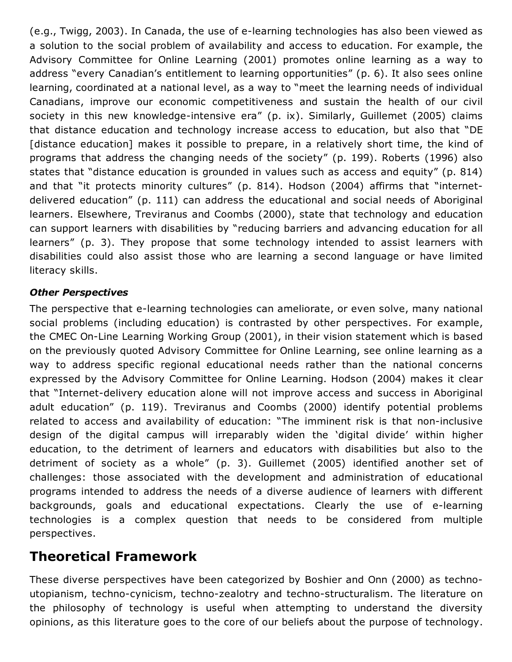(e.g., Twigg, 2003). In Canada, the use of e-learning technologies has also been viewed as a solution to the social problem of availability and access to education. For example, the Advisory Committee for Online Learning (2001) promotes online learning as a way to address "every Canadian's entitlement to learning opportunities" (p. 6). It also sees online learning, coordinated at a national level, as a way to "meet the learning needs of individual Canadians, improve our economic competitiveness and sustain the health of our civil society in this new knowledge-intensive era" (p. ix). Similarly, Guillemet (2005) claims that distance education and technology increase access to education, but also that "DE [distance education] makes it possible to prepare, in a relatively short time, the kind of programs that address the changing needs of the society" (p. 199). Roberts (1996) also states that "distance education is grounded in values such as access and equity" (p. 814) and that "it protects minority cultures" (p. 814). Hodson (2004) affirms that "internetdelivered education" (p. 111) can address the educational and social needs of Aboriginal learners. Elsewhere, Treviranus and Coombs (2000), state that technology and education can support learners with disabilities by "reducing barriers and advancing education for all learners" (p. 3). They propose that some technology intended to assist learners with disabilities could also assist those who are learning a second language or have limited literacy skills.

### *Other Perspectives*

The perspective that e-learning technologies can ameliorate, or even solve, many national social problems (including education) is contrasted by other perspectives. For example, the CMEC On-Line Learning Working Group (2001), in their vision statement which is based on the previously quoted Advisory Committee for Online Learning, see online learning as a way to address specific regional educational needs rather than the national concerns expressed by the Advisory Committee for Online Learning. Hodson (2004) makes it clear that "Internet-delivery education alone will not improve access and success in Aboriginal adult education" (p. 119). Treviranus and Coombs (2000) identify potential problems related to access and availability of education: "The imminent risk is that non-inclusive design of the digital campus will irreparably widen the 'digital divide' within higher education, to the detriment of learners and educators with disabilities but also to the detriment of society as a whole" (p. 3). Guillemet (2005) identified another set of challenges: those associated with the development and administration of educational programs intended to address the needs of a diverse audience of learners with different backgrounds, goals and educational expectations. Clearly the use of e-learning technologies is a complex question that needs to be considered from multiple perspectives.

### Theoretical Framework

These diverse perspectives have been categorized by Boshier and Onn (2000) as technoutopianism, techno-cynicism, techno-zealotry and techno-structuralism. The literature on the philosophy of technology is useful when attempting to understand the diversity opinions, as this literature goes to the core of our beliefs about the purpose of technology.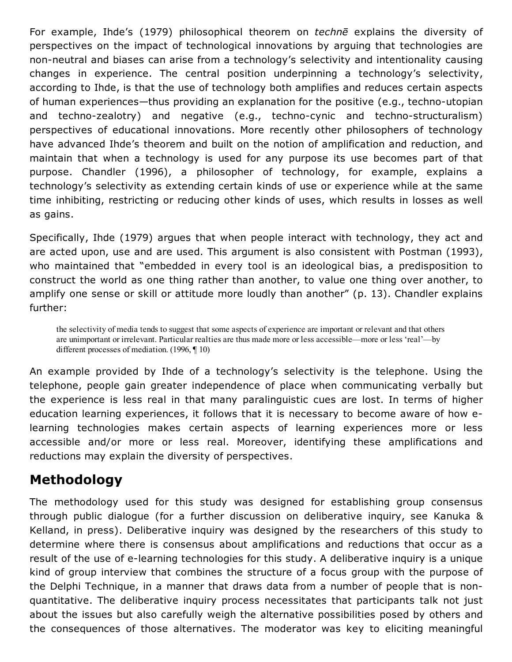For example, Ihde's (1979) philosophical theorem on *technē* explains the diversity of perspectives on the impact of technological innovations by arguing that technologies are non-neutral and biases can arise from a technology's selectivity and intentionality causing changes in experience. The central position underpinning a technology's selectivity, according to Ihde, is that the use of technology both amplifies and reduces certain aspects of human experiences—thus providing an explanation for the positive (e.g., techno-utopian and techno-zealotry) and negative (e.g., techno-cynic and techno-structuralism) perspectives of educational innovations. More recently other philosophers of technology have advanced Ihde's theorem and built on the notion of amplification and reduction, and maintain that when a technology is used for any purpose its use becomes part of that purpose. Chandler (1996), a philosopher of technology, for example, explains a technology's selectivity as extending certain kinds of use or experience while at the same time inhibiting, restricting or reducing other kinds of uses, which results in losses as well as gains.

Specifically, Ihde (1979) argues that when people interact with technology, they act and are acted upon, use and are used. This argument is also consistent with Postman (1993), who maintained that "embedded in every tool is an ideological bias, a predisposition to construct the world as one thing rather than another, to value one thing over another, to amplify one sense or skill or attitude more loudly than another" (p. 13). Chandler explains further:

the selectivity of media tends to suggest that some aspects of experience are important or relevant and that others are unimportant or irrelevant. Particular realties are thus made more or less accessible—more or less 'real'—by different processes of mediation. (1996, ¶ 10)

An example provided by Ihde of a technology's selectivity is the telephone. Using the telephone, people gain greater independence of place when communicating verbally but the experience is less real in that many paralinguistic cues are lost. In terms of higher education learning experiences, it follows that it is necessary to become aware of how elearning technologies makes certain aspects of learning experiences more or less accessible and/or more or less real. Moreover, identifying these amplifications and reductions may explain the diversity of perspectives.

# Methodology

The methodology used for this study was designed for establishing group consensus through public dialogue (for a further discussion on deliberative inquiry, see Kanuka & Kelland, in press). Deliberative inquiry was designed by the researchers of this study to determine where there is consensus about amplifications and reductions that occur as a result of the use of e-learning technologies for this study. A deliberative inquiry is a unique kind of group interview that combines the structure of a focus group with the purpose of the Delphi Technique, in a manner that draws data from a number of people that is nonquantitative. The deliberative inquiry process necessitates that participants talk not just about the issues but also carefully weigh the alternative possibilities posed by others and the consequences of those alternatives. The moderator was key to eliciting meaningful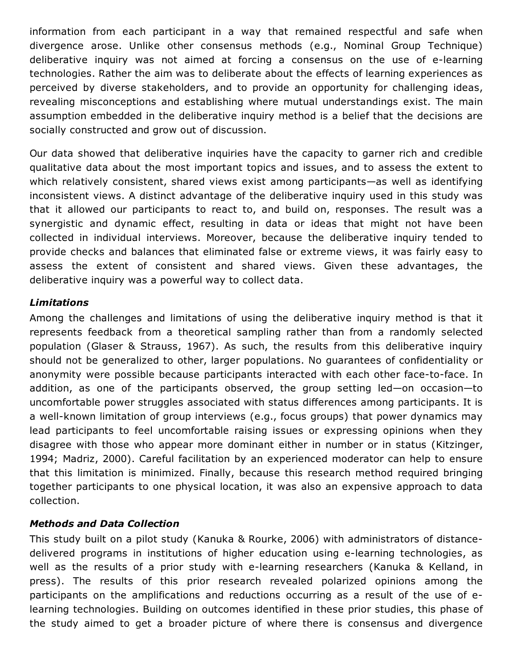information from each participant in a way that remained respectful and safe when divergence arose. Unlike other consensus methods (e.g., Nominal Group Technique) deliberative inquiry was not aimed at forcing a consensus on the use of e-learning technologies. Rather the aim was to deliberate about the effects of learning experiences as perceived by diverse stakeholders, and to provide an opportunity for challenging ideas, revealing misconceptions and establishing where mutual understandings exist. The main assumption embedded in the deliberative inquiry method is a belief that the decisions are socially constructed and grow out of discussion.

Our data showed that deliberative inquiries have the capacity to garner rich and credible qualitative data about the most important topics and issues, and to assess the extent to which relatively consistent, shared views exist among participants—as well as identifying inconsistent views. A distinct advantage of the deliberative inquiry used in this study was that it allowed our participants to react to, and build on, responses. The result was a synergistic and dynamic effect, resulting in data or ideas that might not have been collected in individual interviews. Moreover, because the deliberative inquiry tended to provide checks and balances that eliminated false or extreme views, it was fairly easy to assess the extent of consistent and shared views. Given these advantages, the deliberative inquiry was a powerful way to collect data.

### *Limitations*

Among the challenges and limitations of using the deliberative inquiry method is that it represents feedback from a theoretical sampling rather than from a randomly selected population (Glaser & Strauss, 1967). As such, the results from this deliberative inquiry should not be generalized to other, larger populations. No guarantees of confidentiality or anonymity were possible because participants interacted with each other face-to-face. In addition, as one of the participants observed, the group setting led—on occasion—to uncomfortable power struggles associated with status differences among participants. It is a well-known limitation of group interviews (e.g., focus groups) that power dynamics may lead participants to feel uncomfortable raising issues or expressing opinions when they disagree with those who appear more dominant either in number or in status (Kitzinger, 1994; Madriz, 2000). Careful facilitation by an experienced moderator can help to ensure that this limitation is minimized. Finally, because this research method required bringing together participants to one physical location, it was also an expensive approach to data collection.

### *Methods and Data Collection*

This study built on a pilot study (Kanuka & Rourke, 2006) with administrators of distancedelivered programs in institutions of higher education using e-learning technologies, as well as the results of a prior study with e-learning researchers (Kanuka & Kelland, in press). The results of this prior research revealed polarized opinions among the participants on the amplifications and reductions occurring as a result of the use of elearning technologies. Building on outcomes identified in these prior studies, this phase of the study aimed to get a broader picture of where there is consensus and divergence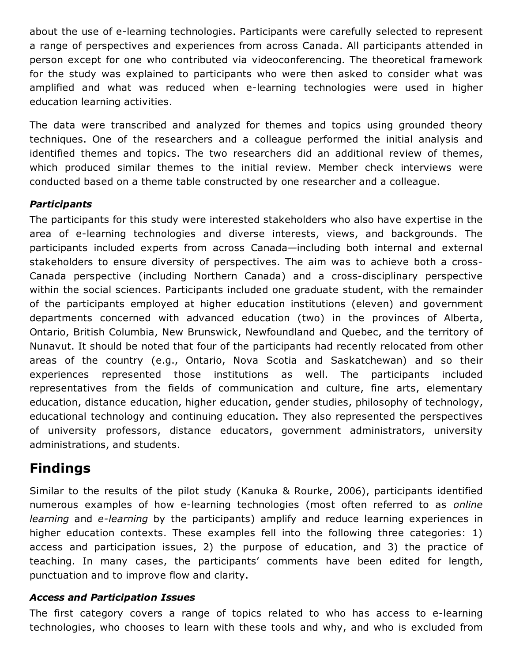about the use of e-learning technologies. Participants were carefully selected to represent a range of perspectives and experiences from across Canada. All participants attended in person except for one who contributed via videoconferencing. The theoretical framework for the study was explained to participants who were then asked to consider what was amplified and what was reduced when e-learning technologies were used in higher education learning activities.

The data were transcribed and analyzed for themes and topics using grounded theory techniques. One of the researchers and a colleague performed the initial analysis and identified themes and topics. The two researchers did an additional review of themes, which produced similar themes to the initial review. Member check interviews were conducted based on a theme table constructed by one researcher and a colleague.

### *Participants*

The participants for this study were interested stakeholders who also have expertise in the area of e-learning technologies and diverse interests, views, and backgrounds. The participants included experts from across Canada—including both internal and external stakeholders to ensure diversity of perspectives. The aim was to achieve both a cross-Canada perspective (including Northern Canada) and a cross-disciplinary perspective within the social sciences. Participants included one graduate student, with the remainder of the participants employed at higher education institutions (eleven) and government departments concerned with advanced education (two) in the provinces of Alberta, Ontario, British Columbia, New Brunswick, Newfoundland and Quebec, and the territory of Nunavut. It should be noted that four of the participants had recently relocated from other areas of the country (e.g., Ontario, Nova Scotia and Saskatchewan) and so their experiences represented those institutions as well. The participants included representatives from the fields of communication and culture, fine arts, elementary education, distance education, higher education, gender studies, philosophy of technology, educational technology and continuing education. They also represented the perspectives of university professors, distance educators, government administrators, university administrations, and students.

### Findings

Similar to the results of the pilot study (Kanuka & Rourke, 2006), participants identified numerous examples of how e-learning technologies (most often referred to as *online learning* and *e-learning* by the participants) amplify and reduce learning experiences in higher education contexts. These examples fell into the following three categories: 1) access and participation issues, 2) the purpose of education, and 3) the practice of teaching. In many cases, the participants' comments have been edited for length, punctuation and to improve flow and clarity.

### *Access and Participation Issues*

The first category covers a range of topics related to who has access to e-learning technologies, who chooses to learn with these tools and why, and who is excluded from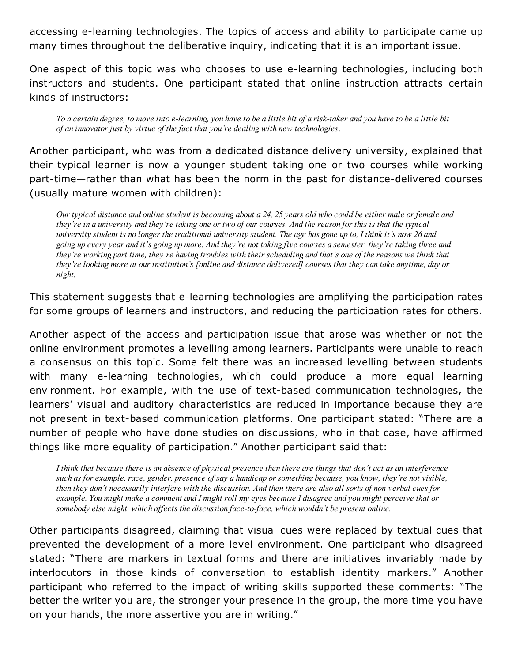accessing e-learning technologies. The topics of access and ability to participate came up many times throughout the deliberative inquiry, indicating that it is an important issue.

One aspect of this topic was who chooses to use e-learning technologies, including both instructors and students. One participant stated that online instruction attracts certain kinds of instructors:

To a certain degree, to move into e-learning, you have to be a little bit of a risk-taker and you have to be a little bit of an innovator just by virtue of the fact that you're dealing with new technologies.

Another participant, who was from a dedicated distance delivery university, explained that their typical learner is now a younger student taking one or two courses while working part-time—rather than what has been the norm in the past for distance-delivered courses (usually mature women with children):

Our typical distance and online student is becoming about a 24, 25 years old who could be either male or female and they're in a university and they're taking one or two of our courses. And the reason for this is that the typical university student is no longer the traditional university student. The age has gone up to, I think it's now 26 and going up every year and it's going up more. And they're not taking five courses a semester, they're taking three and they're working part time, they're having troubles with their scheduling and that's one of the reasons we think that they're looking more at our institution's [online and distance delivered] courses that they can take anytime, day or night.

This statement suggests that e-learning technologies are amplifying the participation rates for some groups of learners and instructors, and reducing the participation rates for others.

Another aspect of the access and participation issue that arose was whether or not the online environment promotes a levelling among learners. Participants were unable to reach a consensus on this topic. Some felt there was an increased levelling between students with many e-learning technologies, which could produce a more equal learning environment. For example, with the use of text-based communication technologies, the learners' visual and auditory characteristics are reduced in importance because they are not present in text-based communication platforms. One participant stated: "There are a number of people who have done studies on discussions, who in that case, have affirmed things like more equality of participation." Another participant said that:

I think that because there is an absence of physical presence then there are things that don't act as an interference such as for example, race, gender, presence of say a handicap or something because, you know, they're not visible, then they don't necessarily interfere with the discussion. And then there are also all sorts of nonverbal cues for example. You might make a comment and I might roll my eyes because I disagree and you might perceive that or somebody else might, which affects the discussion face-to-face, which wouldn't be present online.

Other participants disagreed, claiming that visual cues were replaced by textual cues that prevented the development of a more level environment. One participant who disagreed stated: "There are markers in textual forms and there are initiatives invariably made by interlocutors in those kinds of conversation to establish identity markers." Another participant who referred to the impact of writing skills supported these comments: "The better the writer you are, the stronger your presence in the group, the more time you have on your hands, the more assertive you are in writing."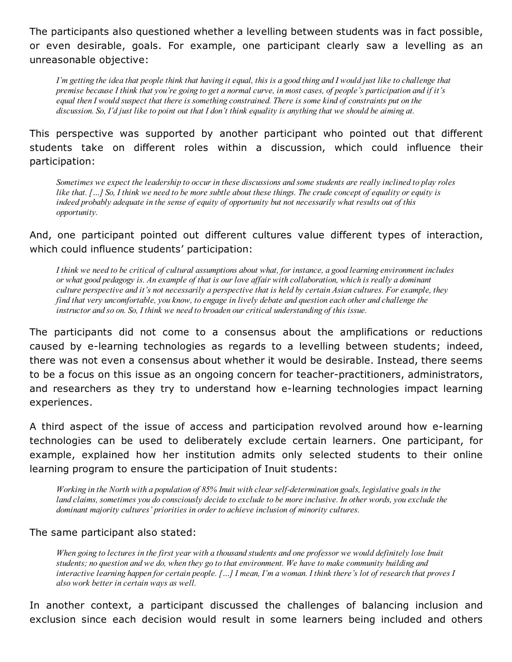The participants also questioned whether a levelling between students was in fact possible, or even desirable, goals. For example, one participant clearly saw a levelling as an unreasonable objective:

I'm getting the idea that people think that having it equal, this is a good thing and I would just like to challenge that premise because I think that you're going to get a normal curve, in most cases, of people's participation and if it's equal then I would suspect that there is something constrained. There is some kind of constraints put on the discussion. So, I'd just like to point out that I don't think equality is anything that we should be aiming at.

This perspective was supported by another participant who pointed out that different students take on different roles within a discussion, which could influence their participation:

Sometimes we expect the leadership to occur in these discussions and some students are really inclined to play roles like that. [...] So, I think we need to be more subtle about these things. The crude concept of equality or equity is indeed probably adequate in the sense of equity of opportunity but not necessarily what results out of this opportunity.

And, one participant pointed out different cultures value different types of interaction, which could influence students' participation:

I think we need to be critical of cultural assumptions about what, for instance, a good learning environment includes or what good pedagogy is. An example of that is our love affair with collaboration, which is really a dominant culture perspective and it's not necessarily a perspective that is held by certain Asian cultures. For example, they find that very uncomfortable, you know, to engage in lively debate and question each other and challenge the instructor and so on. So, I think we need to broaden our critical understanding of this issue.

The participants did not come to a consensus about the amplifications or reductions caused by e-learning technologies as regards to a levelling between students; indeed, there was not even a consensus about whether it would be desirable. Instead, there seems to be a focus on this issue as an ongoing concern for teacher-practitioners, administrators, and researchers as they try to understand how e-learning technologies impact learning experiences.

A third aspect of the issue of access and participation revolved around how e-learning technologies can be used to deliberately exclude certain learners. One participant, for example, explained how her institution admits only selected students to their online learning program to ensure the participation of Inuit students:

Working in the North with a population of  $85%$  Inuit with clear self-determination goals, legislative goals in the land claims, sometimes you do consciously decide to exclude to be more inclusive. In other words, you exclude the dominant majority cultures' priorities in order to achieve inclusion of minority cultures.

#### The same participant also stated:

When going to lectures in the first year with a thousand students and one professor we would definitely lose Inuit students; no question and we do, when they go to that environment. We have to make community building and interactive learning happen for certain people. […] I mean, I'm a woman. I think there's lot of research that proves I also work better in certain ways as well.

In another context, a participant discussed the challenges of balancing inclusion and exclusion since each decision would result in some learners being included and others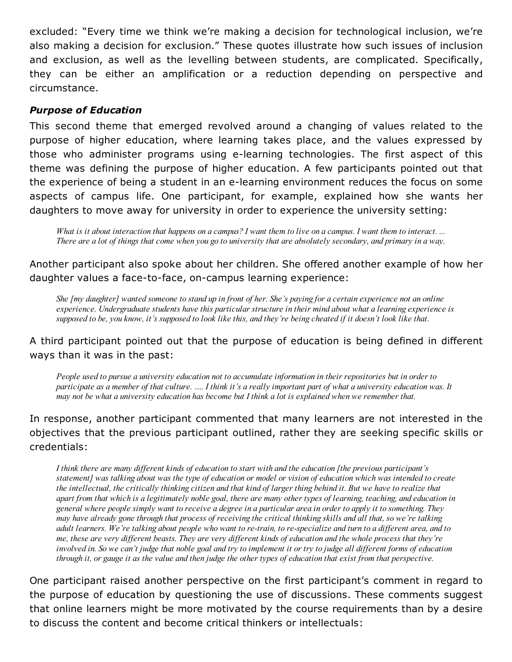excluded: "Every time we think we're making a decision for technological inclusion, we're also making a decision for exclusion." These quotes illustrate how such issues of inclusion and exclusion, as well as the levelling between students, are complicated. Specifically, they can be either an amplification or a reduction depending on perspective and circumstance.

#### *Purpose of Education*

This second theme that emerged revolved around a changing of values related to the purpose of higher education, where learning takes place, and the values expressed by those who administer programs using e-learning technologies. The first aspect of this theme was defining the purpose of higher education. A few participants pointed out that the experience of being a student in an e-learning environment reduces the focus on some aspects of campus life. One participant, for example, explained how she wants her daughters to move away for university in order to experience the university setting:

What is it about interaction that happens on a campus? I want them to live on a campus. I want them to interact. ... There are a lot of things that come when you go to university that are absolutely secondary, and primary in a way.

Another participant also spoke about her children. She offered another example of how her daughter values a face-to-face, on-campus learning experience:

She [my daughter] wanted someone to stand up in front of her. She's paying for a certain experience not an online experience. Undergraduate students have this particular structure in their mind about what a learning experience is supposed to be, you know, it's supposed to look like this, and they're being cheated if it doesn't look like that.

A third participant pointed out that the purpose of education is being defined in different ways than it was in the past:

People used to pursue a university education not to accumulate information in their repositories but in order to participate as a member of that culture. …. I think it's a really important part of what a university education was. It may not be what a university education has become but I think a lot is explained when we remember that.

In response, another participant commented that many learners are not interested in the objectives that the previous participant outlined, rather they are seeking specific skills or credentials:

I think there are many different kinds of education to start with and the education [the previous participant's statement] was talking about was the type of education or model or vision of education which was intended to create the intellectual, the critically thinking citizen and that kind of larger thing behind it. But we have to realize that apart from that which is a legitimately noble goal, there are many other types of learning, teaching, and education in general where people simply want to receive a degree in a particular area in order to apply it to something. They may have already gone through that process of receiving the critical thinking skills and all that, so we're talking adult learners. We're talking about people who want to re-train, to re-specialize and turn to a different area, and to me, these are very different beasts. They are very different kinds of education and the whole process that they're involved in. So we can't judge that noble goal and try to implement it or try to judge all different forms of education through it, or gauge it as the value and then judge the other types of education that exist from that perspective.

One participant raised another perspective on the first participant's comment in regard to the purpose of education by questioning the use of discussions. These comments suggest that online learners might be more motivated by the course requirements than by a desire to discuss the content and become critical thinkers or intellectuals: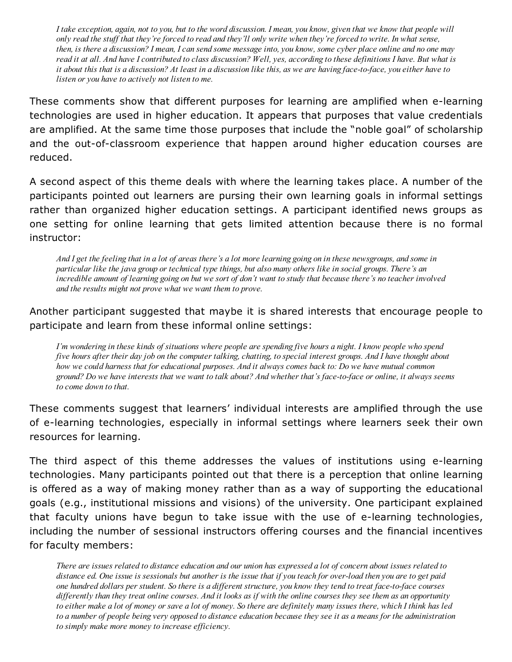I take exception, again, not to you, but to the word discussion. I mean, you know, given that we know that people will only read the stuff that they're forced to read and they'll only write when they're forced to write. In what sense, then, is there a discussion? I mean, I can send some message into, you know, some cyber place online and no one may read it at all. And have I contributed to class discussion? Well, yes, according to these definitions I have. But what is it about this that is a discussion? At least in a discussion like this, as we are having face-to-face, you either have to listen or you have to actively not listen to me.

These comments show that different purposes for learning are amplified when e-learning technologies are used in higher education. It appears that purposes that value credentials are amplified. At the same time those purposes that include the "noble goal" of scholarship and the out-of-classroom experience that happen around higher education courses are reduced.

A second aspect of this theme deals with where the learning takes place. A number of the participants pointed out learners are pursing their own learning goals in informal settings rather than organized higher education settings. A participant identified news groups as one setting for online learning that gets limited attention because there is no formal instructor:

And I get the feeling that in a lot of areas there's a lot more learning going on in these newsgroups, and some in particular like the java group or technical type things, but also many others like in social groups. There's an incredible amount of learning going on but we sort of don't want to study that because there's no teacher involved and the results might not prove what we want them to prove.

Another participant suggested that maybe it is shared interests that encourage people to participate and learn from these informal online settings:

I'm wondering in these kinds of situations where people are spending five hours a night. I know people who spend five hours after their day job on the computer talking, chatting, to special interest groups. And I have thought about how we could harness that for educational purposes. And it always comes back to: Do we have mutual common ground? Do we have interests that we want to talk about? And whether that's face-to-face or online, it always seems to come down to that.

These comments suggest that learners' individual interests are amplified through the use of e-learning technologies, especially in informal settings where learners seek their own resources for learning.

The third aspect of this theme addresses the values of institutions using e-learning technologies. Many participants pointed out that there is a perception that online learning is offered as a way of making money rather than as a way of supporting the educational goals (e.g., institutional missions and visions) of the university. One participant explained that faculty unions have begun to take issue with the use of e-learning technologies, including the number of sessional instructors offering courses and the financial incentives for faculty members:

There are issues related to distance education and our union has expressed a lot of concern about issues related to distance ed. One issue is sessionals but another is the issue that if you teach for over-load then you are to get paid one hundred dollars per student. So there is a different structure, you know they tend to treat face-to-face courses differently than they treat online courses. And it looks as if with the online courses they see them as an opportunity to either make a lot of money or save a lot of money. So there are definitely many issues there, which I think has led to a number of people being very opposed to distance education because they see it as a means for the administration to simply make more money to increase efficiency.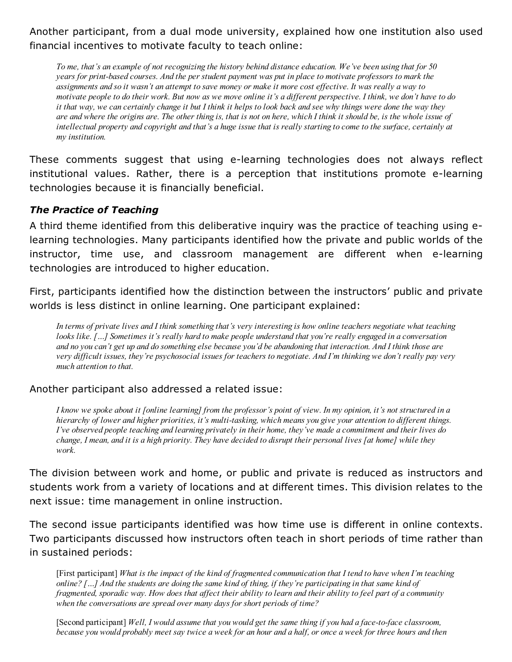### Another participant, from a dual mode university, explained how one institution also used financial incentives to motivate faculty to teach online:

To me, that's an example of not recognizing the history behind distance education. We've been using that for 50 years for print-based courses. And the per student payment was put in place to motivate professors to mark the assignments and so it wasn't an attempt to save money or make it more cost effective. It was really a way to motivate people to do their work. But now as we move online it's a different perspective. I think, we don't have to do it that way, we can certainly change it but I think it helps to look back and see why things were done the way they are and where the origins are. The other thing is, that is not on here, which I think it should be, is the whole issue of intellectual property and copyright and that's a huge issue that is really starting to come to the surface, certainly at my institution.

These comments suggest that using e-learning technologies does not always reflect institutional values. Rather, there is a perception that institutions promote e-learning technologies because it is financially beneficial.

### *The Practice of Teaching*

A third theme identified from this deliberative inquiry was the practice of teaching using elearning technologies. Many participants identified how the private and public worlds of the instructor, time use, and classroom management are different when e-learning technologies are introduced to higher education.

First, participants identified how the distinction between the instructors' public and private worlds is less distinct in online learning. One participant explained:

In terms of private lives and I think something that's very interesting is how online teachers negotiate what teaching looks like. [...] Sometimes it's really hard to make people understand that you're really engaged in a conversation and no you can't get up and do something else because you'd be abandoning that interaction. And I think those are very difficult issues, they're psychosocial issues for teachers to negotiate. And I'm thinking we don't really pay very much attention to that.

#### Another participant also addressed a related issue:

I know we spoke about it [online learning] from the professor's point of view. In my opinion, it's not structured in a hierarchy of lower and higher priorities, it's multi-tasking, which means you give your attention to different things. I've observed people teaching and learning privately in their home, they've made a commitment and their lives do change, I mean, and it is a high priority. They have decided to disrupt their personal lives [at home] while they work.

The division between work and home, or public and private is reduced as instructors and students work from a variety of locations and at different times. This division relates to the next issue: time management in online instruction.

The second issue participants identified was how time use is different in online contexts. Two participants discussed how instructors often teach in short periods of time rather than in sustained periods:

[First participant] What is the impact of the kind of fragmented communication that I tend to have when I'm teaching online? […] And the students are doing the same kind of thing, if they're participating in that same kind of fragmented, sporadic way. How does that affect their ability to learn and their ability to feel part of a community when the conversations are spread over many days for short periods of time?

[Second participant] Well, I would assume that you would get the same thing if you had a face-to-face classroom, because you would probably meet say twice a week for an hour and a half, or once a week for three hours and then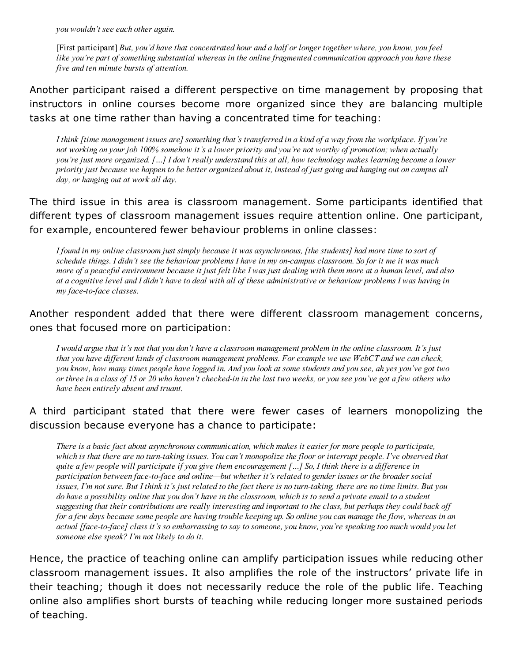you wouldn't see each other again.

[First participant] But, you'd have that concentrated hour and a half or longer together where, you know, you feel like you're part of something substantial whereas in the online fragmented communication approach you have these five and ten minute bursts of attention.

Another participant raised a different perspective on time management by proposing that instructors in online courses become more organized since they are balancing multiple tasks at one time rather than having a concentrated time for teaching:

I think [time management issues are] something that's transferred in a kind of a way from the workplace. If you're not working on your job 100% somehow it's a lower priority and you're not worthy of promotion; when actually you're just more organized. […] I don't really understand this at all, how technology makes learning become a lower priority just because we happen to be better organized about it, instead of just going and hanging out on campus all day, or hanging out at work all day.

The third issue in this area is classroom management. Some participants identified that different types of classroom management issues require attention online. One participant, for example, encountered fewer behaviour problems in online classes:

I found in my online classroom just simply because it was asynchronous, [the students] had more time to sort of schedule things. I didn't see the behaviour problems I have in my oncampus classroom. So for it me it was much more of a peaceful environment because it just felt like I was just dealing with them more at a human level, and also at a cognitive level and I didn't have to deal with all of these administrative or behaviour problems I was having in my face-to-face classes.

Another respondent added that there were different classroom management concerns, ones that focused more on participation:

I would argue that it's not that you don't have a classroom management problem in the online classroom. It's just that you have different kinds of classroom management problems. For example we use WebCT and we can check, you know, how many times people have logged in. And you look at some students and you see, ah yes you've got two or three in a class of 15 or 20 who haven't checkedin in the last two weeks, or you see you've got a few others who have been entirely absent and truant.

### A third participant stated that there were fewer cases of learners monopolizing the discussion because everyone has a chance to participate:

There is a basic fact about asynchronous communication, which makes it easier for more people to participate, which is that there are no turn-taking issues. You can't monopolize the floor or interrupt people. I've observed that quite a few people will participate if you give them encouragement […] So, I think there is a difference in participation between face-to-face and online—but whether it's related to gender issues or the broader social issues, I'm not sure. But I think it's just related to the fact there is no turntaking, there are no time limits. But you do have a possibility online that you don't have in the classroom, which is to send a private email to a student suggesting that their contributions are really interesting and important to the class, but perhaps they could back off for a few days because some people are having trouble keeping up. So online you can manage the flow, whereas in an actual [face-to-face] class it's so embarrassing to say to someone, you know, you're speaking too much would you let someone else speak? I'm not likely to do it.

Hence, the practice of teaching online can amplify participation issues while reducing other classroom management issues. It also amplifies the role of the instructors' private life in their teaching; though it does not necessarily reduce the role of the public life. Teaching online also amplifies short bursts of teaching while reducing longer more sustained periods of teaching.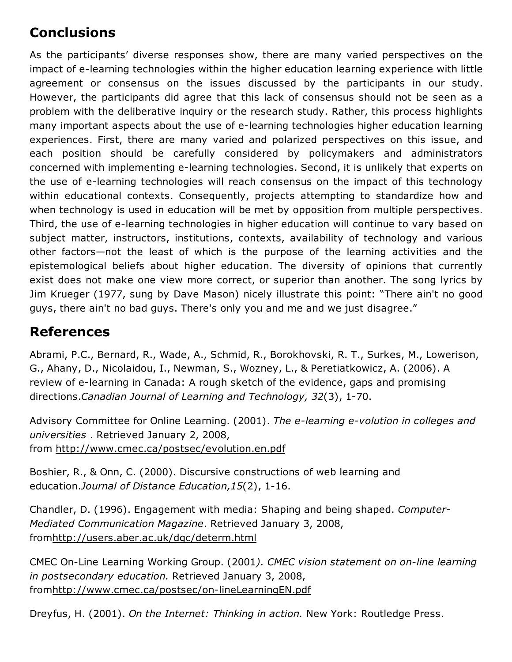# **Conclusions**

As the participants' diverse responses show, there are many varied perspectives on the impact of e-learning technologies within the higher education learning experience with little agreement or consensus on the issues discussed by the participants in our study. However, the participants did agree that this lack of consensus should not be seen as a problem with the deliberative inquiry or the research study. Rather, this process highlights many important aspects about the use of e-learning technologies higher education learning experiences. First, there are many varied and polarized perspectives on this issue, and each position should be carefully considered by policymakers and administrators concerned with implementing e-learning technologies. Second, it is unlikely that experts on the use of e-learning technologies will reach consensus on the impact of this technology within educational contexts. Consequently, projects attempting to standardize how and when technology is used in education will be met by opposition from multiple perspectives. Third, the use of e-learning technologies in higher education will continue to vary based on subject matter, instructors, institutions, contexts, availability of technology and various other factors—not the least of which is the purpose of the learning activities and the epistemological beliefs about higher education. The diversity of opinions that currently exist does not make one view more correct, or superior than another. The song lyrics by Jim Krueger (1977, sung by Dave Mason) nicely illustrate this point: "There ain't no good guys, there ain't no bad guys. There's only you and me and we just disagree."

# References

Abrami, P.C., Bernard, R., Wade, A., Schmid, R., Borokhovski, R. T., Surkes, M., Lowerison, G., Ahany, D., Nicolaidou, I., Newman, S., Wozney, L., & Peretiatkowicz, A. (2006). A review of e-learning in Canada: A rough sketch of the evidence, gaps and promising directions.*Canadian Journal of Learning and Technology, 32*(3), 170.

Advisory Committee for Online Learning. (2001). *The e-learning e-volution in colleges and universities* . Retrieved January 2, 2008, from <http://www.cmec.ca/postsec/evolution.en.pdf>

Boshier, R., & Onn, C. (2000). Discursive constructions of web learning and education.*Journal of Distance Education*, 15(2), 1-16.

Chandler, D. (1996). Engagement with media: Shaping and being shaped. *Computer-Mediated Communication Magazine*. Retrieved January 3, 2008, from<http://users.aber.ac.uk/dgc/determ.html>

CMEC OnLine Learning Working Group. (2001*). CMEC vision statement on online learning in postsecondary education.* Retrieved January 3, 2008, fromhttp://www.cmec.ca/postsec/on-lineLearningEN.pdf

Dreyfus, H. (2001). *On the Internet: Thinking in action.* New York: Routledge Press.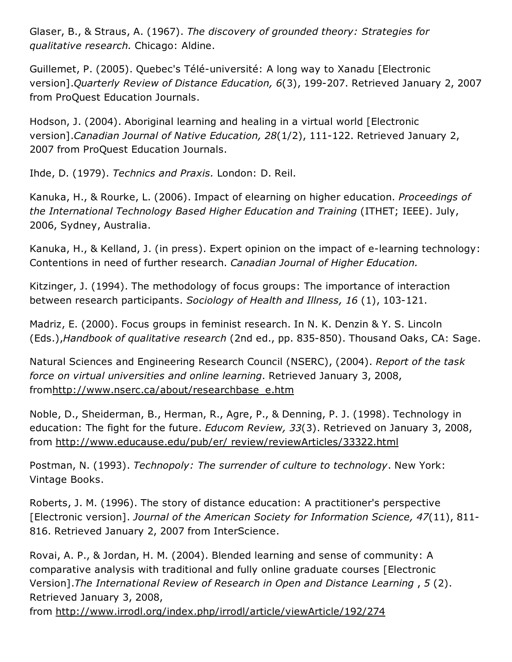Glaser, B., & Straus, A. (1967). *The discovery of grounded theory: Strategies for qualitative research.* Chicago: Aldine.

Guillemet, P. (2005). Quebec's Télé-université: A long way to Xanadu [Electronic version].*Quarterly Review of Distance Education, 6*(3), 199207. Retrieved January 2, 2007 from ProQuest Education Journals.

Hodson, J. (2004). Aboriginal learning and healing in a virtual world [Electronic version].*Canadian Journal of Native Education, 28*(1/2), 111122. Retrieved January 2, 2007 from ProQuest Education Journals.

Ihde, D. (1979). *Technics and Praxis.* London: D. Reil.

Kanuka, H., & Rourke, L. (2006). Impact of elearning on higher education. *Proceedings of the International Technology Based Higher Education and Training* (ITHET; IEEE). July, 2006, Sydney, Australia.

Kanuka, H., & Kelland, J. (in press). Expert opinion on the impact of e-learning technology: Contentions in need of further research. *Canadian Journal of Higher Education.*

Kitzinger, J. (1994). The methodology of focus groups: The importance of interaction between research participants. *Sociology of Health and Illness, 16* (1), 103-121.

Madriz, E. (2000). Focus groups in feminist research. In N. K. Denzin & Y. S. Lincoln (Eds.),*Handbook of qualitative research* (2nd ed., pp. 835-850). Thousand Oaks, CA: Sage.

Natural Sciences and Engineering Research Council (NSERC), (2004). *Report of the task force on virtual universities and online learning*. Retrieved January 3, 2008, from[http://www.nserc.ca/about/researchbase\\_e.htm](http://www.nserc.ca/about/researchbase_e.htm)

Noble, D., Sheiderman, B., Herman, R., Agre, P., & Denning, P. J. (1998). Technology in education: The fight for the future. *Educom Review, 33*(3). Retrieved on January 3, 2008, from [http://www.educause.edu/pub/er/](http://www.educause.edu/pub/er/%20review/reviewArticles/33322.html) review/reviewArticles/33322.html

Postman, N. (1993). *Technopoly: The surrender of culture to technology*. New York: Vintage Books.

Roberts, J. M. (1996). The story of distance education: A practitioner's perspective [Electronic version]. *Journal of the American Society for Information Science, 47*(11), 811 816. Retrieved January 2, 2007 from InterScience.

Rovai, A. P., & Jordan, H. M. (2004). Blended learning and sense of community: A comparative analysis with traditional and fully online graduate courses [Electronic Version].*The International Review of Research in Open and Distance Learning* , *5* (2). Retrieved January 3, 2008,

from <http://www.irrodl.org/index.php/irrodl/article/viewArticle/192/274>